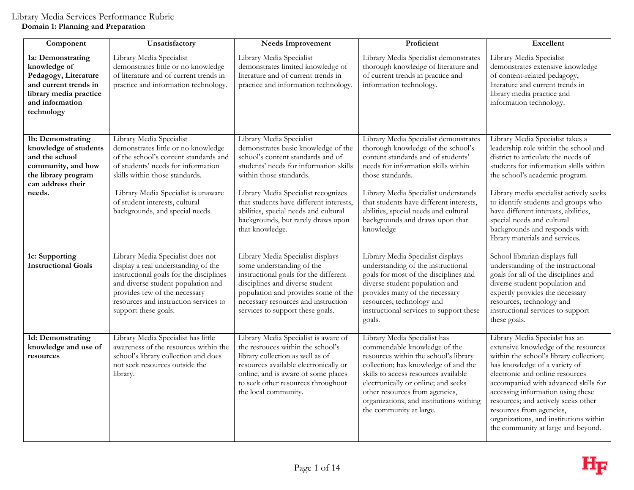| Component                                                                                                                                     | Unsatisfactory                                                                                                                                                                                                                                                                               | <b>Needs Improvement</b>                                                                                                                                                                                                                                                                                                                                      | Proficient                                                                                                                                                                                                                                                                                                                                               | Excellent                                                                                                                                                                                                                                                                                                                                                                                                                |
|-----------------------------------------------------------------------------------------------------------------------------------------------|----------------------------------------------------------------------------------------------------------------------------------------------------------------------------------------------------------------------------------------------------------------------------------------------|---------------------------------------------------------------------------------------------------------------------------------------------------------------------------------------------------------------------------------------------------------------------------------------------------------------------------------------------------------------|----------------------------------------------------------------------------------------------------------------------------------------------------------------------------------------------------------------------------------------------------------------------------------------------------------------------------------------------------------|--------------------------------------------------------------------------------------------------------------------------------------------------------------------------------------------------------------------------------------------------------------------------------------------------------------------------------------------------------------------------------------------------------------------------|
| 1a: Demonstrating<br>knowledge of<br>Pedagogy, Literature<br>and current trends in<br>library media practice<br>and information<br>technology | Library Media Specialist<br>demonstrates little or no knowledge<br>of literature and of current trends in<br>practice and information technology.                                                                                                                                            | Library Media Specialist<br>demonstrates limited knowledge of<br>literature and of current trends in<br>practice and information technology.                                                                                                                                                                                                                  | Library Media Specialist demonstrates<br>thorough knowledge of literature and<br>of current trends in practice and<br>information technology.                                                                                                                                                                                                            | Library Media Specialist<br>demonstrates extensive knowledge<br>of content-related pedagogy,<br>literature and current trends in<br>library media practice and<br>information technology.                                                                                                                                                                                                                                |
| 1b: Demonstrating<br>knowledge of students<br>and the school<br>community, and how<br>the library program<br>can address their<br>needs.      | Library Media Specialist<br>demonstrates little or no knowledge<br>of the school's content standards and<br>of students' needs for information<br>skills within those standards.<br>Library Media Specialist is unaware<br>of student interests, cultural<br>backgrounds, and special needs. | Library Media Specialist<br>demonstrates basic knowledge of the<br>school's content standards and of<br>students' needs for information skills<br>within those standards.<br>Library Media Specialist recognizes<br>that students have different interests,<br>abilities, special needs and cultural<br>backgrounds, but rarely draws upon<br>that knowledge. | Library Media Specialist demonstrates<br>thorough knowledge of the school's<br>content standards and of students'<br>needs for information skills within<br>those standards.<br>Library Media Specialist understands<br>that students have different interests,<br>abilities, special needs and cultural<br>backgrounds and draws upon that<br>knowledge | Library Media Specialist takes a<br>leadership role within the school and<br>district to articulate the needs of<br>students for information skills within<br>the school's academic program.<br>Library media specialist actively seeks<br>to identify students and groups who<br>have different interests, abilities,<br>special needs and cultural<br>backgrounds and responds with<br>library materials and services. |
| 1c: Supporting<br><b>Instructional Goals</b>                                                                                                  | Library Media Specialist does not<br>display a real understanding of the<br>instructional goals for the disciplines<br>and diverse student population and<br>provides few of the necessary<br>resources and instruction services to<br>support these goals.                                  | Library Media Specialist displays<br>some understanding of the<br>instructional goals for the different<br>disciplines and diverse student<br>population and provides some of the<br>necessary resources and instruction<br>services to support these goals.                                                                                                  | Library Media Specialist displays<br>understanding of the instructional<br>goals for most of the disciplines and<br>diverse student population and<br>provides many of the necessary<br>resources, technology and<br>instructional services to support these<br>goals.                                                                                   | School librarian displays full<br>understanding of the instructional<br>goals for all of the disciplines and<br>diverse student population and<br>expertly provides the necessary<br>resources, technology and<br>instructional services to support<br>these goals.                                                                                                                                                      |
| 1d: Demonstrating<br>knowledge and use of<br>resources                                                                                        | Library Media Specialist has little<br>awareness of the resources within the<br>school's library collection and does<br>not seek resources outside the<br>library.                                                                                                                           | Library Media Specialist is aware of<br>the resrouces within the school's<br>library collection as well as of<br>resources available electronically or<br>online, and is aware of some places<br>to seek other resources throughout<br>the local community.                                                                                                   | Library Media Specialist has<br>commendable knowledge of the<br>resources within the school's library<br>collection; has knowledge of and the<br>skills to access resources available<br>electronically or online; and seeks<br>other resources from agencies,<br>organizations, and institutions withing<br>the community at large.                     | Library Media Specialst has an<br>extensive knowledge of the resources<br>within the school's library collection;<br>has knowledge of a variety of<br>electronic and online resources<br>accompanied with advanced skills for<br>accessing information using these<br>resources; and actively seeks other<br>resources from agencies,<br>organizations, and institutions within<br>the community at large and beyond.    |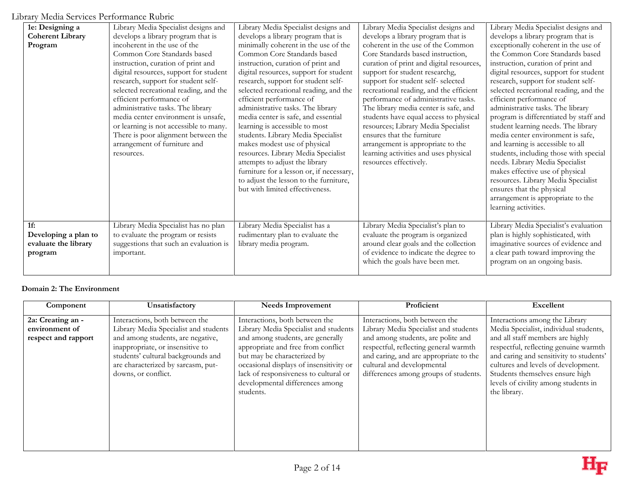| taly incum oclyned i chommance ituoi |                                        |                                          |                                          |                                        |
|--------------------------------------|----------------------------------------|------------------------------------------|------------------------------------------|----------------------------------------|
| 1e: Designing a                      | Library Media Specialist designs and   | Library Media Specialist designs and     | Library Media Specialist designs and     | Library Media Specialist designs and   |
| <b>Coherent Library</b>              | develops a library program that is     | develops a library program that is       | develops a library program that is       | develops a library program that is     |
| Program                              | incoherent in the use of the           | minimally coherent in the use of the     | coherent in the use of the Common        | exceptionally coherent in the use of   |
|                                      | Common Core Standards based            | Common Core Standards based              | Core Standards based instruction,        | the Common Core Standards based        |
|                                      | instruction, curation of print and     | instruction, curation of print and       | curation of print and digital resources, | instruction, curation of print and     |
|                                      | digital resources, support for student | digital resources, support for student   | support for student researchg,           | digital resources, support for student |
|                                      | research, support for student self-    | research, support for student self-      | support for student self- selected       | research, support for student self-    |
|                                      | selected recreational reading, and the | selected recreational reading, and the   | recreational reading, and the efficient  | selected recreational reading, and the |
|                                      | efficient performance of               | efficient performance of                 | performance of administrative tasks.     | efficient performance of               |
|                                      | administrative tasks. The library      | administrative tasks. The library        | The library media center is safe, and    | administrative tasks. The library      |
|                                      | media center environment is unsafe,    | media center is safe, and essential      | students have equal access to physical   | program is differentiated by staff and |
|                                      | or learning is not accessible to many. | learning is accessible to most           | resources; Library Media Specialist      | student learning needs. The library    |
|                                      | There is poor alignment between the    | students. Library Media Specialist       | ensures that the furniture               | media center environment is safe,      |
|                                      | arrangement of furniture and           | makes modest use of physical             | arrangement is appropriate to the        | and learning is accessible to all      |
|                                      | resources.                             | resources. Library Media Specialist      | learning activities and uses physical    | students, including those with special |
|                                      |                                        | attempts to adjust the library           | resources effectively.                   | needs. Library Media Specialist        |
|                                      |                                        | furniture for a lesson or, if necessary, |                                          | makes effective use of physical        |
|                                      |                                        | to adjust the lesson to the furniture,   |                                          | resources. Library Media Specialist    |
|                                      |                                        | but with limited effectiveness.          |                                          | ensures that the physical              |
|                                      |                                        |                                          |                                          | arrangement is appropriate to the      |
|                                      |                                        |                                          |                                          | learning activities.                   |
|                                      |                                        |                                          |                                          |                                        |
| 1f:                                  | Library Media Specialist has no plan   | Library Media Specialist has a           | Library Media Specialist's plan to       | Library Media Specialist's evaluation  |
| Developing a plan to                 | to evaluate the program or resists     | rudimentary plan to evaluate the         | evaluate the program is organized        | plan is highly sophisticated, with     |
| evaluate the library                 | suggestions that such an evaluation is | library media program.                   | around clear goals and the collection    | imaginative sources of evidence and    |
| program                              | important.                             |                                          | of evidence to indicate the degree to    | a clear path toward improving the      |
|                                      |                                        |                                          | which the goals have been met.           | program on an ongoing basis.           |
|                                      |                                        |                                          |                                          |                                        |

# **Domain 2: The Environment**

| Component                                                  | Unsatisfactory                                                                                                                                                                                                                                      | <b>Needs Improvement</b>                                                                                                                                                                                                                                                                                              | Proficient                                                                                                                                                                                                                                                              | Excellent                                                                                                                                                                                                                                                                                                                          |
|------------------------------------------------------------|-----------------------------------------------------------------------------------------------------------------------------------------------------------------------------------------------------------------------------------------------------|-----------------------------------------------------------------------------------------------------------------------------------------------------------------------------------------------------------------------------------------------------------------------------------------------------------------------|-------------------------------------------------------------------------------------------------------------------------------------------------------------------------------------------------------------------------------------------------------------------------|------------------------------------------------------------------------------------------------------------------------------------------------------------------------------------------------------------------------------------------------------------------------------------------------------------------------------------|
| 2a: Creating an -<br>environment of<br>respect and rapport | Interactions, both between the<br>Library Media Specialist and students<br>and among students, are negative,<br>inappropriate, or insensitive to<br>students' cultural backgrounds and<br>are characterized by sarcasm, put-<br>downs, or conflict. | Interactions, both between the<br>Library Media Specialist and students<br>and among students, are generally<br>appropriate and free from conflict<br>but may be characterized by<br>occasional displays of insensitivity or<br>lack of responsiveness to cultural or<br>developmental differences among<br>students. | Interactions, both between the<br>Library Media Specialist and students<br>and among students, are polite and<br>respectful, reflecting general warmth<br>and caring, and are appropriate to the<br>cultural and developmental<br>differences among groups of students. | Interactions among the Library<br>Media Specialist, individual students,<br>and all staff members are highly<br>respectful, reflecting genuine warmth<br>and caring and sensitivity to students'<br>cultures and levels of development.<br>Students themselves ensure high<br>levels of civility among students in<br>the library. |

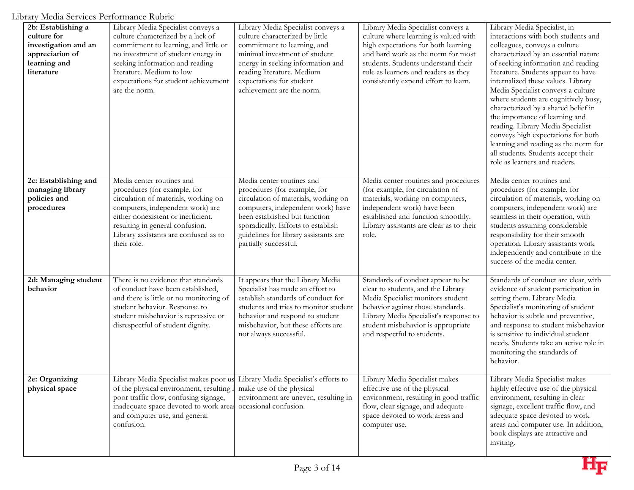|  | Library Media Services Performance Rubric |  |
|--|-------------------------------------------|--|
|  |                                           |  |

| ealy incum oclynces I chommance indulie                                                                    |                                                                                                                                                                                                                                                                                  |                                                                                                                                                                                                                                                                                 |                                                                                                                                                                                                                                                                                 |                                                                                                                                                                                                                                                                                                                                                                                                                                                                                                                                                                                                                   |
|------------------------------------------------------------------------------------------------------------|----------------------------------------------------------------------------------------------------------------------------------------------------------------------------------------------------------------------------------------------------------------------------------|---------------------------------------------------------------------------------------------------------------------------------------------------------------------------------------------------------------------------------------------------------------------------------|---------------------------------------------------------------------------------------------------------------------------------------------------------------------------------------------------------------------------------------------------------------------------------|-------------------------------------------------------------------------------------------------------------------------------------------------------------------------------------------------------------------------------------------------------------------------------------------------------------------------------------------------------------------------------------------------------------------------------------------------------------------------------------------------------------------------------------------------------------------------------------------------------------------|
| 2b: Establishing a<br>culture for<br>investigation and an<br>appreciation of<br>learning and<br>literature | Library Media Specialist conveys a<br>culture characterized by a lack of<br>commitment to learning, and little or<br>no investment of student energy in<br>seeking information and reading<br>literature. Medium to low<br>expectations for student achievement<br>are the norm. | Library Media Specialist conveys a<br>culture characterized by little<br>commitment to learning, and<br>minimal investment of student<br>energy in seeking information and<br>reading literature. Medium<br>expectations for student<br>achievement are the norm.               | Library Media Specialist conveys a<br>culture where learning is valued with<br>high expectations for both learning<br>and hard work as the norm for most<br>students. Students understand their<br>role as learners and readers as they<br>consistently expend effort to learn. | Library Media Specialist, in<br>interactions with both students and<br>colleagues, conveys a culture<br>characterized by an essential nature<br>of seeking information and reading<br>literature. Students appear to have<br>internalized these values. Library<br>Media Specialist conveys a culture<br>where students are cognitively busy,<br>characterized by a shared belief in<br>the importance of learning and<br>reading. Library Media Specialist<br>conveys high expectations for both<br>learning and reading as the norm for<br>all students. Students accept their<br>role as learners and readers. |
| 2c: Establishing and<br>managing library<br>policies and<br>procedures                                     | Media center routines and<br>procedures (for example, for<br>circulation of materials, working on<br>computers, independent work) are<br>either nonexistent or inefficient,<br>resulting in general confusion.<br>Library assistants are confused as to<br>their role.           | Media center routines and<br>procedures (for example, for<br>circulation of materials, working on<br>computers, independent work) have<br>been established but function<br>sporadically. Efforts to establish<br>guidelines for library assistants are<br>partially successful. | Media center routines and procedures<br>(for example, for circulation of<br>materials, working on computers,<br>independent work) have been<br>established and function smoothly.<br>Library assistants are clear as to their<br>role.                                          | Media center routines and<br>procedures (for example, for<br>circulation of materials, working on<br>computers, independent work) are<br>seamless in their operation, with<br>students assuming considerable<br>responsibility for their smooth<br>operation. Library assistants work<br>independently and contribute to the<br>success of the media center.                                                                                                                                                                                                                                                      |
| 2d: Managing student<br>behavior                                                                           | There is no evidence that standards<br>of conduct have been established,<br>and there is little or no monitoring of<br>student behavior. Response to<br>student misbehavior is repressive or<br>disrespectful of student dignity.                                                | It appears that the Library Media<br>Specialist has made an effort to<br>establish standards of conduct for<br>students and tries to monitor student<br>behavior and respond to student<br>misbehavior, but these efforts are<br>not always successful.                         | Standards of conduct appear to be<br>clear to students, and the Library<br>Media Specialist monitors student<br>behavior against those standards.<br>Library Media Specialist's response to<br>student misbehavior is appropriate<br>and respectful to students.                | Standards of conduct are clear, with<br>evidence of student participation in<br>setting them. Library Media<br>Specialist's monitoring of student<br>behavior is subtle and preventive,<br>and response to student misbehavior<br>is sensitive to individual student<br>needs. Students take an active role in<br>monitoring the standards of<br>behavior.                                                                                                                                                                                                                                                        |
| 2e: Organizing<br>physical space                                                                           | Library Media Specialist makes poor us<br>of the physical environment, resulting<br>poor traffic flow, confusing signage,<br>inadequate space devoted to work area.<br>and computer use, and general<br>confusion.                                                               | Library Media Specialist's efforts to<br>make use of the physical<br>environment are uneven, resulting in<br>occasional confusion.                                                                                                                                              | Library Media Specialist makes<br>effective use of the physical<br>environment, resulting in good traffic<br>flow, clear signage, and adequate<br>space devoted to work areas and<br>computer use.                                                                              | Library Media Specialist makes<br>highly effective use of the physical<br>environment, resulting in clear<br>signage, excellent traffic flow, and<br>adequate space devoted to work<br>areas and computer use. In addition,<br>book displays are attractive and<br>inviting.                                                                                                                                                                                                                                                                                                                                      |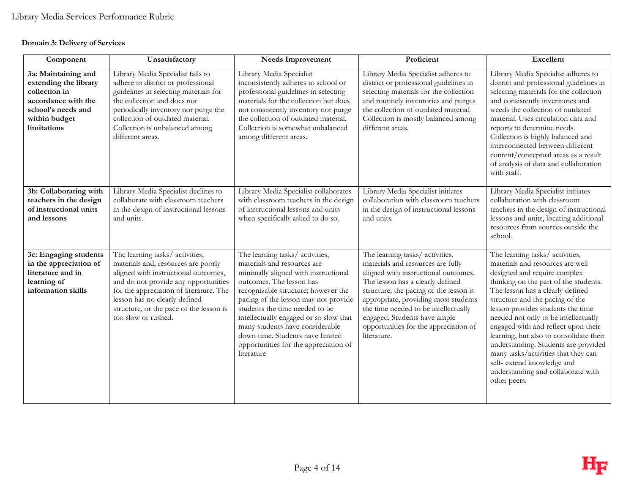## **Domain 3: Delivery of Services**

| Component                                                                                                                                  | Unsatisfactory                                                                                                                                                                                                                                                                                      | Needs Improvement                                                                                                                                                                                                                                                                                                                                                                                                          | Proficient                                                                                                                                                                                                                                                                                                                                                         | Excellent                                                                                                                                                                                                                                                                                                                                                                                                                                                                                                                                            |
|--------------------------------------------------------------------------------------------------------------------------------------------|-----------------------------------------------------------------------------------------------------------------------------------------------------------------------------------------------------------------------------------------------------------------------------------------------------|----------------------------------------------------------------------------------------------------------------------------------------------------------------------------------------------------------------------------------------------------------------------------------------------------------------------------------------------------------------------------------------------------------------------------|--------------------------------------------------------------------------------------------------------------------------------------------------------------------------------------------------------------------------------------------------------------------------------------------------------------------------------------------------------------------|------------------------------------------------------------------------------------------------------------------------------------------------------------------------------------------------------------------------------------------------------------------------------------------------------------------------------------------------------------------------------------------------------------------------------------------------------------------------------------------------------------------------------------------------------|
| 3a: Maintaining and<br>extending the library<br>collection in<br>accordance with the<br>school's needs and<br>within budget<br>limitations | Library Media Specialist fails to<br>adhere to district or professional<br>guidelines in selecting materials for<br>the collection and does not<br>periodically inventory nor purge the<br>collection of outdated material.<br>Collection is unbalanced among<br>different areas.                   | Library Media Specialist<br>inconsistently adheres to school or<br>professional guidelines in selecting<br>materials for the collection but does<br>not consistently inventory nor purge<br>the collection of outdated material.<br>Collection is somewhat unbalanced<br>among different areas.                                                                                                                            | Library Media Specialist adheres to<br>district or professional guidelines in<br>selecting materials for the collection<br>and routinely inventories and purges<br>the collection of outdated material.<br>Collection is mostly balanced among<br>different areas.                                                                                                 | Library Media Specialist adheres to<br>district and professional guidelines in<br>selecting materials for the collection<br>and consistently inventories and<br>weeds the collection of outdated<br>material. Uses circulation data and<br>reports to determine needs.<br>Collection is highly balanced and<br>interconnected between different<br>content/conceptual areas as a result<br>of analysis of data and collaboration<br>with staff.                                                                                                      |
| 3b: Collaborating with<br>teachers in the design<br>of instructional units<br>and lessons                                                  | Library Media Specialist declines to<br>collaborate with classroom teachers<br>in the design of instructional lessons<br>and units.                                                                                                                                                                 | Library Media Specialist collaborates<br>with classroom teachers in the design<br>of instructional lessons and units<br>when specifically asked to do so.                                                                                                                                                                                                                                                                  | Library Media Specialist initiates<br>collaboration with classroom teachers<br>in the design of instructional lessons<br>and units.                                                                                                                                                                                                                                | Library Media Specialist initiates<br>collaboration with classroom<br>teachers in the design of instructional<br>lessons and units, locating additional<br>resources from sources outside the<br>school.                                                                                                                                                                                                                                                                                                                                             |
| 3c: Engaging students<br>in the appreciation of<br>literature and in<br>learning of<br>information skills                                  | The learning tasks/activities,<br>materials and, resources are poorly<br>aligned with instructional outcomes,<br>and do not provide any opportunities<br>for the appreciation of literature. The<br>lesson has no clearly defined<br>structure, or the pace of the lesson is<br>too slow or rushed. | The learning tasks/activities,<br>materials and resources are<br>minimally aligned with instructional<br>outcomes. The lesson has<br>recognizable structure; however the<br>pacing of the lesson may not provide<br>students the time needed to be<br>intellectually engaged or so slow that<br>many students have considerable<br>down time. Students have limited<br>opportunities for the appreciation of<br>literature | The learning tasks/ activities,<br>materials and resources are fully<br>aligned with instructional outcomes.<br>The lesson has a clearly defined<br>structure; the pacing of the lesson is<br>appropriate, providing most students<br>the time needed to be intellectually<br>engaged. Students have ample<br>opportunities for the appreciation of<br>literature. | The learning tasks/activities,<br>materials and resources are well<br>designed and require complex<br>thinking on the part of the students.<br>The lesson has a clearly defined<br>structure and the pacing of the<br>lesson provides students the time<br>needed not only to be intellectually<br>engaged with and reflect upon their<br>learning, but also to consolidate their<br>understanding. Students are provided<br>many tasks/activities that they can<br>self- extend knowledge and<br>understanding and collaborate with<br>other peers. |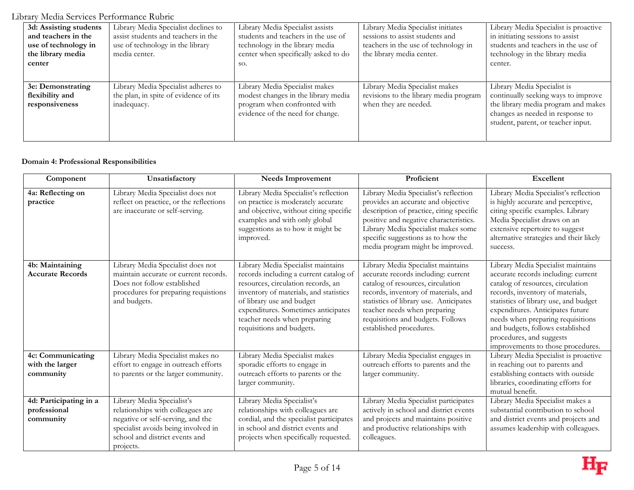| 3d: Assisting students<br>and teachers in the<br>use of technology in<br>the library media<br>center | Library Media Specialist declines to<br>assist students and teachers in the<br>use of technology in the library<br>media center. | Library Media Specialist assists<br>students and teachers in the use of<br>technology in the library media<br>center when specifically asked to do<br>SO. | Library Media Specialist initiates<br>sessions to assist students and<br>teachers in the use of technology in<br>the library media center. | Library Media Specialist is proactive<br>in initiating sessions to assist<br>students and teachers in the use of<br>technology in the library media<br>center.                      |
|------------------------------------------------------------------------------------------------------|----------------------------------------------------------------------------------------------------------------------------------|-----------------------------------------------------------------------------------------------------------------------------------------------------------|--------------------------------------------------------------------------------------------------------------------------------------------|-------------------------------------------------------------------------------------------------------------------------------------------------------------------------------------|
| 3e: Demonstrating<br>flexibility and<br>responsiveness                                               | Library Media Specialist adheres to<br>the plan, in spite of evidence of its<br>inadequacy.                                      | Library Media Specialist makes<br>modest changes in the library media<br>program when confronted with<br>evidence of the need for change.                 | Library Media Specialist makes<br>revisions to the library media program<br>when they are needed.                                          | Library Media Specialist is<br>continually seeking ways to improve<br>the library media program and makes<br>changes as needed in response to<br>student, parent, or teacher input. |

# **Domain 4: Professional Responsibilities**

| Component                                           | Unsatisfactory                                                                                                                                                                             | <b>Needs Improvement</b>                                                                                                                                                                                                                                                                      | Proficient                                                                                                                                                                                                                                                                                       | Excellent                                                                                                                                                                                                                                                                                                                                                                 |
|-----------------------------------------------------|--------------------------------------------------------------------------------------------------------------------------------------------------------------------------------------------|-----------------------------------------------------------------------------------------------------------------------------------------------------------------------------------------------------------------------------------------------------------------------------------------------|--------------------------------------------------------------------------------------------------------------------------------------------------------------------------------------------------------------------------------------------------------------------------------------------------|---------------------------------------------------------------------------------------------------------------------------------------------------------------------------------------------------------------------------------------------------------------------------------------------------------------------------------------------------------------------------|
| 4a: Reflecting on<br>practice                       | Library Media Specialist does not<br>reflect on practice, or the reflections<br>are inaccurate or self-serving.                                                                            | Library Media Specialist's reflection<br>on practice is moderately accurate<br>and objective, without citing specific<br>examples and with only global<br>suggestions as to how it might be<br>improved.                                                                                      | Library Media Specialist's reflection<br>provides an accurate and objective<br>description of practice, citing specific<br>positive and negative characteristics.<br>Library Media Specialist makes some<br>specific suggestions as to how the<br>media program might be improved.               | Library Media Specialist's reflection<br>is highly accurate and perceptive,<br>citing specific examples. Library<br>Media Specialist draws on an<br>extensive repertoire to suggest<br>alternative strategies and their likely<br>success.                                                                                                                                |
| 4b: Maintaining<br><b>Accurate Records</b>          | Library Media Specialist does not<br>maintain accurate or current records.<br>Does not follow established<br>procedures for preparing requistions<br>and budgets.                          | Library Media Specialist maintains<br>records including a current catalog of<br>resources, circulation records, an<br>inventory of materials, and statistics<br>of library use and budget<br>expenditures. Sometimes anticipates<br>teacher needs when preparing<br>requisitions and budgets. | Library Media Specialist maintains<br>accurate records including: current<br>catalog of resources, circulation<br>records, inventory of materials, and<br>statistics of library use. Anticipates<br>teacher needs when preparing<br>requisitions and budgets. Follows<br>established procedures. | Library Media Specialist maintains<br>accurate records including: current<br>catalog of resources, circulation<br>records, inventory of materials,<br>statistics of library use, and budget<br>expenditures. Anticipates future<br>needs when preparing requisitions<br>and budgets, follows established<br>procedures, and suggests<br>improvements to those procedures. |
| 4c: Communicating<br>with the larger<br>community   | Library Media Specialist makes no<br>effort to engage in outreach efforts<br>to parents or the larger community.                                                                           | Library Media Specialist makes<br>sporadic efforts to engage in<br>outreach efforts to parents or the<br>larger community.                                                                                                                                                                    | Library Media Specialist engages in<br>outreach efforts to parents and the<br>larger community.                                                                                                                                                                                                  | Library Media Specialist is proactive<br>in reaching out to parents and<br>establishing contacts with outside<br>libraries, coordinating efforts for<br>mutual benefit.                                                                                                                                                                                                   |
| 4d: Participating in a<br>professional<br>community | Library Media Specialist's<br>relationships with colleagues are<br>negative or self-serving, and the<br>specialist avoids being involved in<br>school and district events and<br>projects. | Library Media Specialist's<br>relationships with colleagues are<br>cordial, and the specialist participates<br>in school and district events and<br>projects when specifically requested.                                                                                                     | Library Media Specialist participates<br>actively in school and district events<br>and projects and maintains positive<br>and productive relationships with<br>colleagues.                                                                                                                       | Library Media Specialist makes a<br>substantial contribution to school<br>and district events and projects and<br>assumes leadership with colleagues.                                                                                                                                                                                                                     |

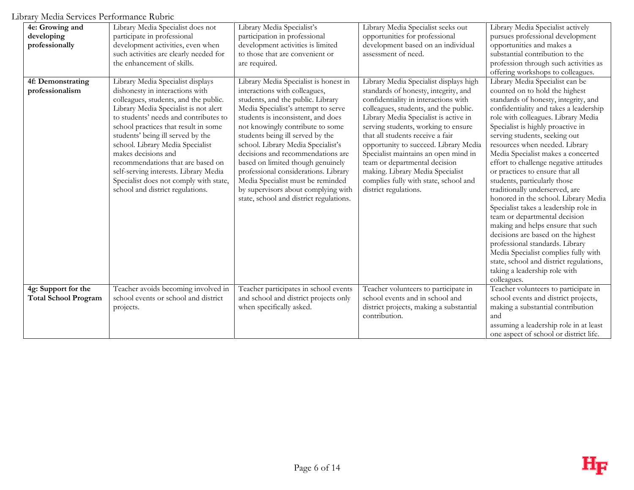| 4e: Growing and             | Library Media Specialist does not      | Library Media Specialist's              | Library Media Specialist seeks out      | Library Media Specialist actively       |
|-----------------------------|----------------------------------------|-----------------------------------------|-----------------------------------------|-----------------------------------------|
| developing                  | participate in professional            | participation in professional           | opportunities for professional          | pursues professional development        |
| professionally              | development activities, even when      | development activities is limited       | development based on an individual      | opportunities and makes a               |
|                             | such activities are clearly needed for | to those that are convenient or         | assessment of need.                     | substantial contribution to the         |
|                             | the enhancement of skills.             | are required.                           |                                         | profession through such activities as   |
|                             |                                        |                                         |                                         | offering workshops to colleagues.       |
| 4f: Demonstrating           | Library Media Specialist displays      | Library Media Specialist is honest in   | Library Media Specialist displays high  | Library Media Specialist can be         |
| professionalism             | dishonesty in interactions with        | interactions with colleagues,           | standards of honesty, integrity, and    | counted on to hold the highest          |
|                             | colleagues, students, and the public.  | students, and the public. Library       | confidentiality in interactions with    | standards of honesty, integrity, and    |
|                             | Library Media Specialist is not alert  | Media Specialist's attempt to serve     | colleagues, students, and the public.   | confidentiality and takes a leadership  |
|                             | to students' needs and contributes to  | students is inconsistent, and does      | Library Media Specialist is active in   | role with colleagues. Library Media     |
|                             | school practices that result in some   | not knowingly contribute to some        | serving students, working to ensure     | Specialist is highly proactive in       |
|                             | students' being ill served by the      | students being ill served by the        | that all students receive a fair        | serving students, seeking out           |
|                             | school. Library Media Specialist       | school. Library Media Specialist's      | opportunity to succeed. Library Media   | resources when needed. Library          |
|                             | makes decisions and                    | decisions and recommendations are       | Specialist maintains an open mind in    | Media Specialist makes a concerted      |
|                             | recommendations that are based on      | based on limited though genuinely       | team or departmental decision           | effort to challenge negative attitudes  |
|                             | self-serving interests. Library Media  | professional considerations. Library    | making. Library Media Specialist        | or practices to ensure that all         |
|                             | Specialist does not comply with state, | Media Specialist must be reminded       | complies fully with state, school and   | students, particularly those            |
|                             | school and district regulations.       | by supervisors about complying with     | district regulations.                   | traditionally underserved, are          |
|                             |                                        | state, school and district regulations. |                                         | honored in the school. Library Media    |
|                             |                                        |                                         |                                         | Specialist takes a leadership role in   |
|                             |                                        |                                         |                                         | team or departmental decision           |
|                             |                                        |                                         |                                         | making and helps ensure that such       |
|                             |                                        |                                         |                                         | decisions are based on the highest      |
|                             |                                        |                                         |                                         | professional standards. Library         |
|                             |                                        |                                         |                                         | Media Specialist complies fully with    |
|                             |                                        |                                         |                                         | state, school and district regulations, |
|                             |                                        |                                         |                                         | taking a leadership role with           |
|                             |                                        |                                         |                                         | colleagues.                             |
| 4g: Support for the         | Teacher avoids becoming involved in    | Teacher participates in school events   | Teacher volunteers to participate in    | Teacher volunteers to participate in    |
| <b>Total School Program</b> | school events or school and district   | and school and district projects only   | school events and in school and         | school events and district projects,    |
|                             | projects.                              | when specifically asked.                | district projects, making a substantial | making a substantial contribution       |
|                             |                                        |                                         | contribution.                           | and                                     |
|                             |                                        |                                         |                                         | assuming a leadership role in at least  |
|                             |                                        |                                         |                                         | one aspect of school or district life.  |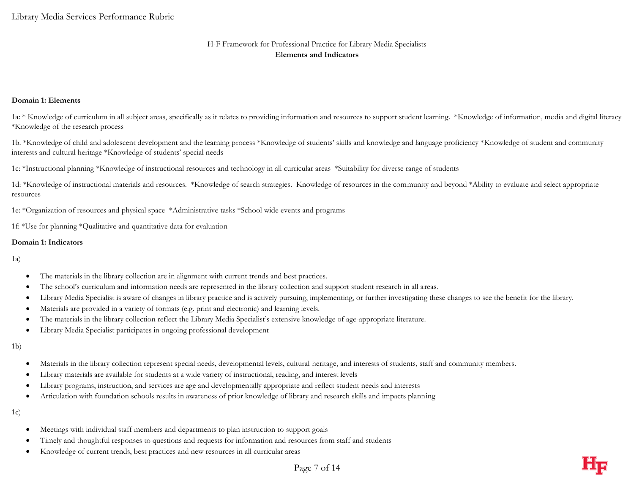## H-F Framework for Professional Practice for Library Media Specialists **Elements and Indicators**

#### **Domain 1: Elements**

1a: \* Knowledge of curriculum in all subject areas, specifically as it relates to providing information and resources to support student learning. \*Knowledge of information, media and digital literacy \*Knowledge of the research process

1b. \*Knowledge of child and adolescent development and the learning process \*Knowledge of students' skills and knowledge and language proficiency \*Knowledge of student and community interests and cultural heritage \*Knowledge of students' special needs

1c: \*Instructional planning \*Knowledge of instructional resources and technology in all curricular areas \*Suitability for diverse range of students

1d: \*Knowledge of instructional materials and resources. \*Knowledge of search strategies. Knowledge of resources in the community and beyond \*Ability to evaluate and select appropriate resources

1e: \*Organization of resources and physical space \*Administrative tasks \*School wide events and programs

1f: \*Use for planning \*Qualitative and quantitative data for evaluation

#### **Domain 1: Indicators**

1a)

- The materials in the library collection are in alignment with current trends and best practices.
- The school's curriculum and information needs are represented in the library collection and support student research in all areas.
- Library Media Specialist is aware of changes in library practice and is actively pursuing, implementing, or further investigating these changes to see the benefit for the library.
- Materials are provided in a variety of formats (e.g. print and electronic) and learning levels.
- The materials in the library collection reflect the Library Media Specialist's extensive knowledge of age-appropriate literature.
- Library Media Specialist participates in ongoing professional development

1b)

- Materials in the library collection represent special needs, developmental levels, cultural heritage, and interests of students, staff and community members.
- Library materials are available for students at a wide variety of instructional, reading, and interest levels
- Library programs, instruction, and services are age and developmentally appropriate and reflect student needs and interests
- Articulation with foundation schools results in awareness of prior knowledge of library and research skills and impacts planning

- Meetings with individual staff members and departments to plan instruction to support goals
- Timely and thoughtful responses to questions and requests for information and resources from staff and students
- Knowledge of current trends, best practices and new resources in all curricular areas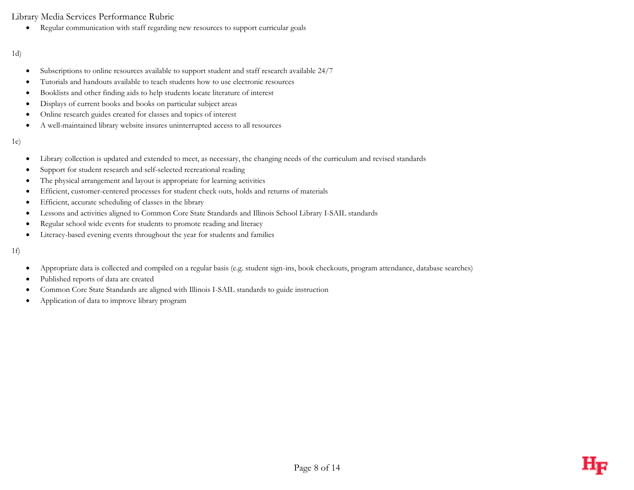Regular communication with staff regarding new resources to support curricular goals

## 1d)

- Subscriptions to online resources available to support student and staff research available 24/7
- Tutorials and handouts available to teach students how to use electronic resources
- Booklists and other finding aids to help students locate literature of interest
- Displays of current books and books on particular subject areas
- Online research guides created for classes and topics of interest
- A well-maintained library website insures uninterrupted access to all resources

## 1e)

- Library collection is updated and extended to meet, as necessary, the changing needs of the curriculum and revised standards
- Support for student research and self-selected recreational reading
- The physical arrangement and layout is appropriate for learning activities
- Efficient, customer-centered processes for student check outs, holds and returns of materials
- Efficient, accurate scheduling of classes in the library
- Lessons and activities aligned to Common Core State Standards and Illinois School Library I-SAIL standards
- Regular school wide events for students to promote reading and literacy
- Literacy-based evening events throughout the year for students and families

## 1f)

- Appropriate data is collected and compiled on a regular basis (e.g. student sign-ins, book checkouts, program attendance, database searches)
- Published reports of data are created
- Common Core State Standards are aligned with Illinois I-SAIL standards to guide instruction
- Application of data to improve library program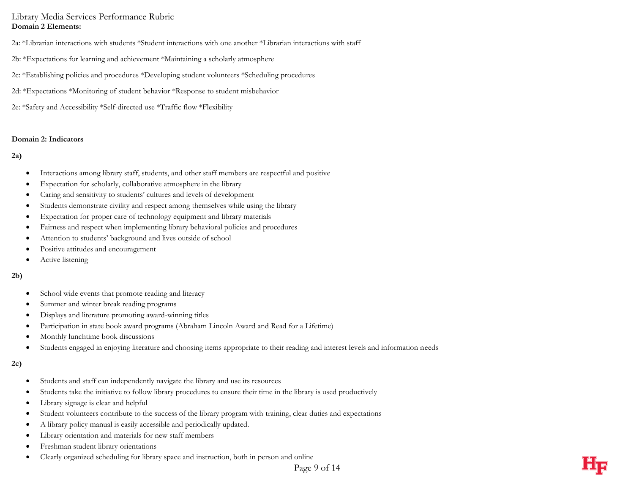Library Media Services Performance Rubric **Domain 2 Elements:**

- 2a: \*Librarian interactions with students \*Student interactions with one another \*Librarian interactions with staff
- 2b: \*Expectations for learning and achievement \*Maintaining a scholarly atmosphere
- 2c: \*Establishing policies and procedures \*Developing student volunteers \*Scheduling procedures
- 2d: \*Expectations \*Monitoring of student behavior \*Response to student misbehavior
- 2e: \*Safety and Accessibility \*Self-directed use \*Traffic flow \*Flexibility

#### **Domain 2: Indicators**

### **2a)**

- Interactions among library staff, students, and other staff members are respectful and positive
- Expectation for scholarly, collaborative atmosphere in the library
- Caring and sensitivity to students' cultures and levels of development
- Students demonstrate civility and respect among themselves while using the library
- Expectation for proper care of technology equipment and library materials
- Fairness and respect when implementing library behavioral policies and procedures
- Attention to students' background and lives outside of school
- Positive attitudes and encouragement
- Active listening

## **2b)**

- School wide events that promote reading and literacy
- Summer and winter break reading programs
- Displays and literature promoting award-winning titles
- Participation in state book award programs (Abraham Lincoln Award and Read for a Lifetime)
- Monthly lunchtime book discussions
- Students engaged in enjoying literature and choosing items appropriate to their reading and interest levels and information needs

- Students and staff can independently navigate the library and use its resources
- Students take the initiative to follow library procedures to ensure their time in the library is used productively
- Library signage is clear and helpful
- Student volunteers contribute to the success of the library program with training, clear duties and expectations
- A library policy manual is easily accessible and periodically updated.
- Library orientation and materials for new staff members
- Freshman student library orientations
- Clearly organized scheduling for library space and instruction, both in person and online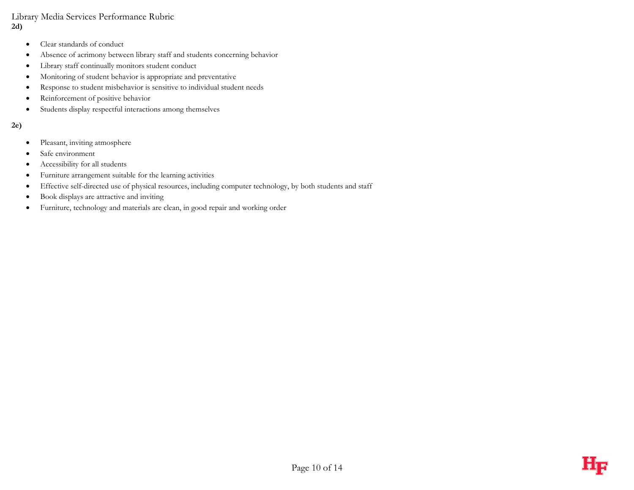- Clear standards of conduct
- Absence of acrimony between library staff and students concerning behavior
- Library staff continually monitors student conduct
- Monitoring of student behavior is appropriate and preventative
- Response to student misbehavior is sensitive to individual student needs
- Reinforcement of positive behavior
- Students display respectful interactions among themselves

## **2e)**

- Pleasant, inviting atmosphere
- Safe environment
- Accessibility for all students
- Furniture arrangement suitable for the learning activities
- Effective self-directed use of physical resources, including computer technology, by both students and staff
- Book displays are attractive and inviting
- Furniture, technology and materials are clean, in good repair and working order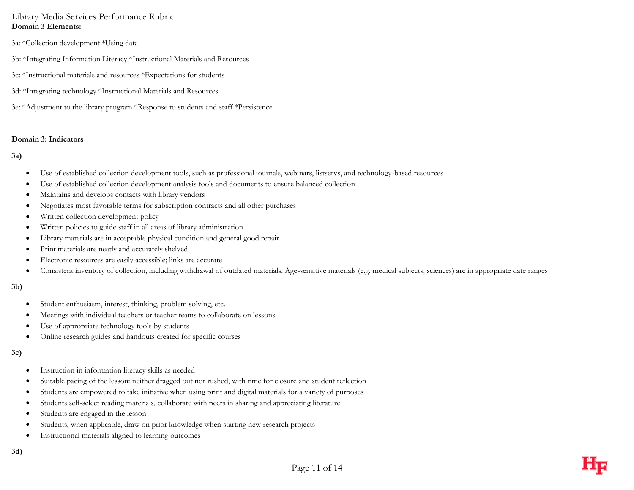## Library Media Services Performance Rubric **Domain 3 Elements:**

- 3a: \*Collection development \*Using data
- 3b: \*Integrating Information Literacy \*Instructional Materials and Resources
- 3c: \*Instructional materials and resources \*Expectations for students
- 3d: \*Integrating technology \*Instructional Materials and Resources
- 3e: \*Adjustment to the library program \*Response to students and staff \*Persistence

#### **Domain 3: Indicators**

### **3a)**

- Use of established collection development tools, such as professional journals, webinars, listservs, and technology-based resources
- Use of established collection development analysis tools and documents to ensure balanced collection
- Maintains and develops contacts with library vendors
- Negotiates most favorable terms for subscription contracts and all other purchases
- Written collection development policy
- Written policies to guide staff in all areas of library administration
- Library materials are in acceptable physical condition and general good repair
- Print materials are neatly and accurately shelved
- Electronic resources are easily accessible; links are accurate
- Consistent inventory of collection, including withdrawal of outdated materials. Age-sensitive materials (e.g. medical subjects, sciences) are in appropriate date ranges

### **3b)**

- Student enthusiasm, interest, thinking, problem solving, etc.
- Meetings with individual teachers or teacher teams to collaborate on lessons
- Use of appropriate technology tools by students
- Online research guides and handouts created for specific courses

- Instruction in information literacy skills as needed
- Suitable pacing of the lesson: neither dragged out nor rushed, with time for closure and student reflection
- Students are empowered to take initiative when using print and digital materials for a variety of purposes
- Students self-select reading materials, collaborate with peers in sharing and appreciating literature
- Students are engaged in the lesson
- Students, when applicable, draw on prior knowledge when starting new research projects
- Instructional materials aligned to learning outcomes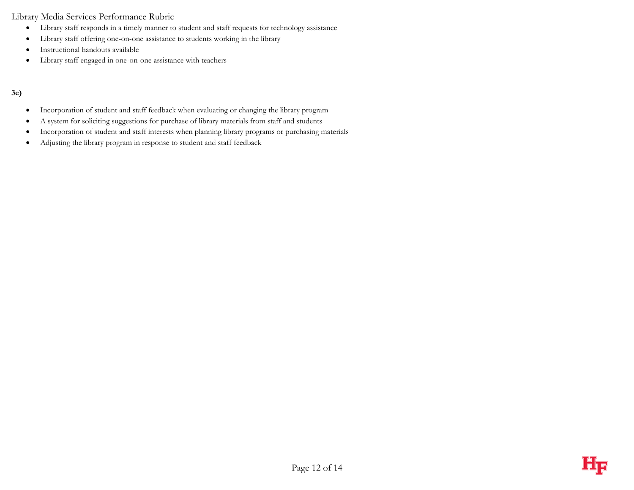- Library staff responds in a timely manner to student and staff requests for technology assistance
- Library staff offering one-on-one assistance to students working in the library
- Instructional handouts available
- Library staff engaged in one-on-one assistance with teachers

# **3e)**

- Incorporation of student and staff feedback when evaluating or changing the library program
- A system for soliciting suggestions for purchase of library materials from staff and students
- Incorporation of student and staff interests when planning library programs or purchasing materials
- Adjusting the library program in response to student and staff feedback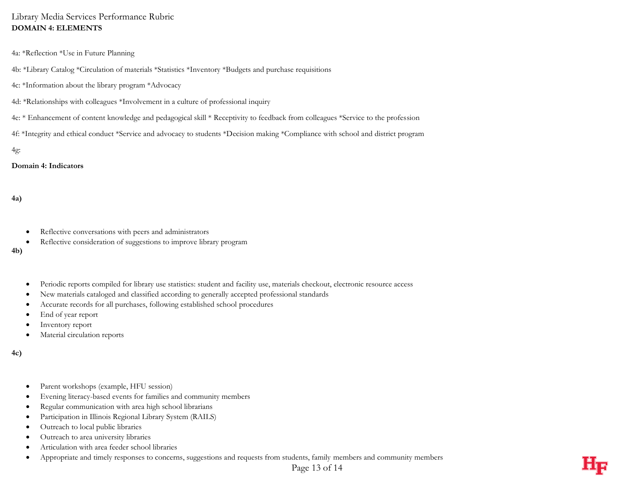# Library Media Services Performance Rubric **DOMAIN 4: ELEMENTS**

4a: \*Reflection \*Use in Future Planning

4b: \*Library Catalog \*Circulation of materials \*Statistics \*Inventory \*Budgets and purchase requisitions

- 4c: \*Information about the library program \*Advocacy
- 4d: \*Relationships with colleagues \*Involvement in a culture of professional inquiry
- 4e: \* Enhancement of content knowledge and pedagogical skill \* Receptivity to feedback from colleagues \*Service to the profession

4f: \*Integrity and ethical conduct \*Service and advocacy to students \*Decision making \*Compliance with school and district program

4g:

#### **Domain 4: Indicators**

## **4a)**

- Reflective conversations with peers and administrators
- Reflective consideration of suggestions to improve library program

#### **4b)**

- Periodic reports compiled for library use statistics: student and facility use, materials checkout, electronic resource access
- New materials cataloged and classified according to generally accepted professional standards
- Accurate records for all purchases, following established school procedures
- End of year report
- Inventory report
- Material circulation reports

- Parent workshops (example, HFU session)
- Evening literacy-based events for families and community members
- Regular communication with area high school librarians
- Participation in Illinois Regional Library System (RAILS)
- Outreach to local public libraries
- Outreach to area university libraries
- Articulation with area feeder school libraries
- Appropriate and timely responses to concerns, suggestions and requests from students, family members and community members